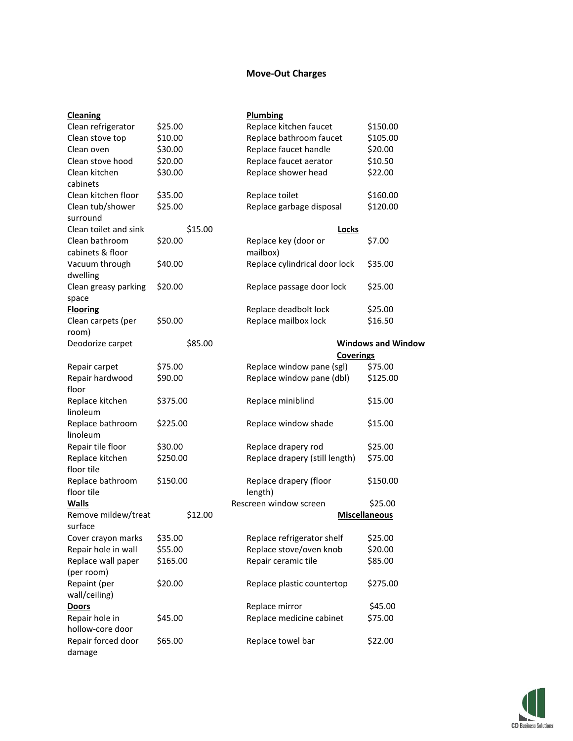## **Move-Out Charges**

| <b>Cleaning</b>                    |          | <b>Plumbing</b>                   |                           |
|------------------------------------|----------|-----------------------------------|---------------------------|
| Clean refrigerator                 | \$25.00  | Replace kitchen faucet            | \$150.00                  |
| Clean stove top                    | \$10.00  | Replace bathroom faucet           | \$105.00                  |
| Clean oven                         | \$30.00  | Replace faucet handle             | \$20.00                   |
| Clean stove hood                   | \$20.00  | Replace faucet aerator            | \$10.50                   |
| Clean kitchen                      | \$30.00  | Replace shower head               | \$22.00                   |
| cabinets                           |          |                                   |                           |
| Clean kitchen floor                | \$35.00  | Replace toilet                    | \$160.00                  |
| Clean tub/shower<br>surround       | \$25.00  | Replace garbage disposal          | \$120.00                  |
| Clean toilet and sink              | \$15.00  | <b>Locks</b>                      |                           |
| Clean bathroom<br>cabinets & floor | \$20.00  | Replace key (door or<br>mailbox)  | \$7.00                    |
| Vacuum through<br>dwelling         | \$40.00  | Replace cylindrical door lock     | \$35.00                   |
| Clean greasy parking<br>space      | \$20.00  | Replace passage door lock         | \$25.00                   |
| <b>Flooring</b>                    |          | Replace deadbolt lock             | \$25.00                   |
| Clean carpets (per<br>room)        | \$50.00  | Replace mailbox lock              | \$16.50                   |
| Deodorize carpet                   | \$85.00  |                                   | <b>Windows and Window</b> |
|                                    |          | <b>Coverings</b>                  |                           |
| Repair carpet                      | \$75.00  | Replace window pane (sgl)         | \$75.00                   |
| Repair hardwood                    | \$90.00  | Replace window pane (dbl)         | \$125.00                  |
| floor                              |          |                                   |                           |
| Replace kitchen                    | \$375.00 | Replace miniblind                 | \$15.00                   |
| linoleum                           |          |                                   |                           |
| Replace bathroom                   | \$225.00 | Replace window shade              | \$15.00                   |
| linoleum                           |          |                                   |                           |
| Repair tile floor                  | \$30.00  | Replace drapery rod               | \$25.00                   |
| Replace kitchen<br>floor tile      | \$250.00 | Replace drapery (still length)    | \$75.00                   |
| Replace bathroom<br>floor tile     | \$150.00 | Replace drapery (floor<br>length) | \$150.00                  |
| <b>Walls</b>                       |          | Rescreen window screen            | \$25.00                   |
| Remove mildew/treat                | \$12.00  |                                   | <b>Miscellaneous</b>      |
| surface                            |          |                                   |                           |
| Cover crayon marks                 | \$35.00  | Replace refrigerator shelf        | \$25.00                   |
| Repair hole in wall                | \$55.00  | Replace stove/oven knob           | \$20.00                   |
| Replace wall paper                 | \$165.00 | Repair ceramic tile               | \$85.00                   |
| (per room)                         |          |                                   |                           |
| Repaint (per                       | \$20.00  | Replace plastic countertop        | \$275.00                  |
| wall/ceiling)                      |          |                                   |                           |
| <b>Doors</b>                       |          | Replace mirror                    | \$45.00                   |
| Repair hole in                     | \$45.00  | Replace medicine cabinet          | \$75.00                   |
| hollow-core door                   |          |                                   |                           |
| Repair forced door<br>damage       | \$65.00  | Replace towel bar                 | \$22.00                   |